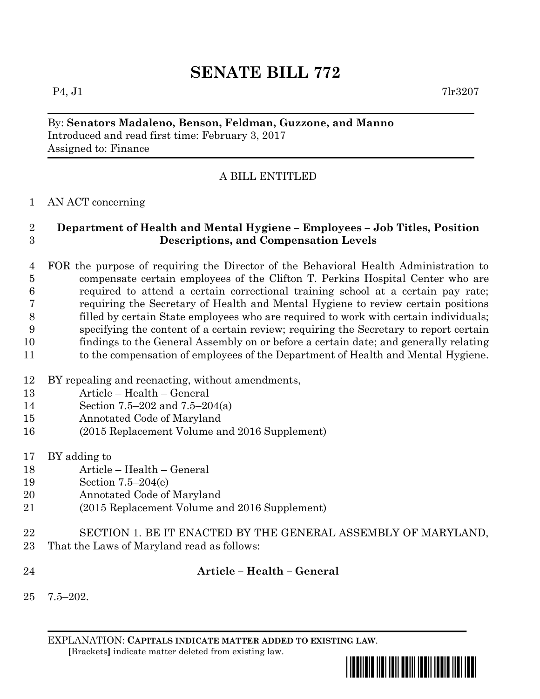# **SENATE BILL 772**

 $P_4, J_1$  7lr3207

By: **Senators Madaleno, Benson, Feldman, Guzzone, and Manno** Introduced and read first time: February 3, 2017 Assigned to: Finance

# A BILL ENTITLED

### AN ACT concerning

### **Department of Health and Mental Hygiene – Employees – Job Titles, Position Descriptions, and Compensation Levels**

 FOR the purpose of requiring the Director of the Behavioral Health Administration to compensate certain employees of the Clifton T. Perkins Hospital Center who are required to attend a certain correctional training school at a certain pay rate; requiring the Secretary of Health and Mental Hygiene to review certain positions filled by certain State employees who are required to work with certain individuals; specifying the content of a certain review; requiring the Secretary to report certain findings to the General Assembly on or before a certain date; and generally relating 11 to the compensation of employees of the Department of Health and Mental Hygiene.

- BY repealing and reenacting, without amendments,
- Article Health General
- Section 7.5–202 and 7.5–204(a)
- Annotated Code of Maryland
- (2015 Replacement Volume and 2016 Supplement)
- BY adding to
- Article Health General
- Section 7.5–204(e)
- Annotated Code of Maryland
- (2015 Replacement Volume and 2016 Supplement)
- SECTION 1. BE IT ENACTED BY THE GENERAL ASSEMBLY OF MARYLAND,
- That the Laws of Maryland read as follows:
- 

# **Article – Health – General**

7.5–202.

EXPLANATION: **CAPITALS INDICATE MATTER ADDED TO EXISTING LAW**.  **[**Brackets**]** indicate matter deleted from existing law.